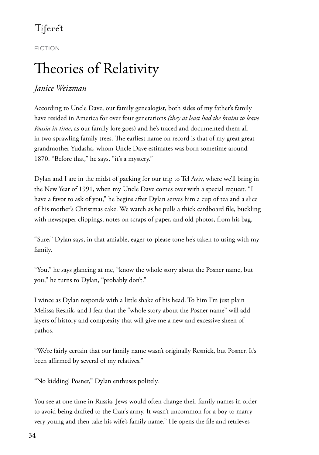#### FICTION

# Theories of Relativity

#### *Janice Weizman*

According to Uncle Dave, our family genealogist, both sides of my father's family have resided in America for over four generations *(they at least had the brains to leave Russia in time*, as our family lore goes) and he's traced and documented them all in two sprawling family trees. The earliest name on record is that of my great great grandmother Yudasha, whom Uncle Dave estimates was born sometime around 1870. "Before that," he says, "it's a mystery."

Dylan and I are in the midst of packing for our trip to Tel Aviv, where we'll bring in the New Year of 1991, when my Uncle Dave comes over with a special request. "I have a favor to ask of you," he begins after Dylan serves him a cup of tea and a slice of his mother's Christmas cake. We watch as he pulls a thick cardboard file, buckling with newspaper clippings, notes on scraps of paper, and old photos, from his bag.

"Sure," Dylan says, in that amiable, eager-to-please tone he's taken to using with my family.

"You," he says glancing at me, "know the whole story about the Posner name, but you," he turns to Dylan, "probably don't."

I wince as Dylan responds with a little shake of his head. To him I'm just plain Melissa Resnik, and I fear that the "whole story about the Posner name" will add layers of history and complexity that will give me a new and excessive sheen of pathos.

"We're fairly certain that our family name wasn't originally Resnick, but Posner. It's been affirmed by several of my relatives."

"No kidding! Posner," Dylan enthuses politely.

You see at one time in Russia, Jews would often change their family names in order to avoid being drafted to the Czar's army. It wasn't uncommon for a boy to marry very young and then take his wife's family name." He opens the file and retrieves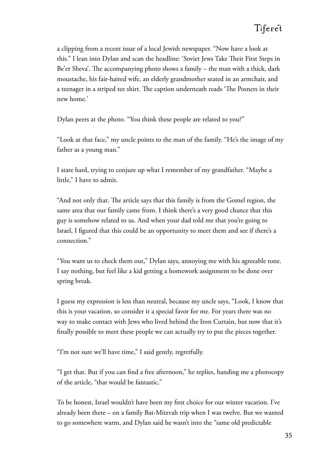a clipping from a recent issue of a local Jewish newspaper. "Now have a look at this." I lean into Dylan and scan the headline: 'Soviet Jews Take Their First Steps in Be'er Sheva'. The accompanying photo shows a family – the man with a thick, dark moustache, his fair-haired wife, an elderly grandmother seated in an armchair, and a teenager in a striped tee shirt. The caption underneath reads 'The Posners in their new home.'

Dylan peers at the photo. "You think these people are related to you?"

"Look at that face," my uncle points to the man of the family. "He's the image of my father as a young man."

I stare hard, trying to conjure up what I remember of my grandfather. "Maybe a little," I have to admit.

"And not only that. The article says that this family is from the Gomel region, the same area that our family came from. I think there's a very good chance that this guy is somehow related to us. And when your dad told me that you're going to Israel, I figured that this could be an opportunity to meet them and see if there's a connection."

"You want us to check them out," Dylan says, annoying me with his agreeable tone. I say nothing, but feel like a kid getting a homework assignment to be done over spring break.

I guess my expression is less than neutral, because my uncle says, "Look, I know that this is your vacation, so consider it a special favor for me. For years there was no way to make contact with Jews who lived behind the Iron Curtain, but now that it's finally possible to meet these people we can actually try to put the pieces together.

"I'm not sure we'll have time," I said gently, regretfully.

"I get that. But if you can find a free afternoon," he replies, handing me a photocopy of the article, "that would be fantastic."

To be honest, Israel wouldn't have been my first choice for our winter vacation. I've already been there – on a family Bat-Mitzvah trip when I was twelve. But we wanted to go somewhere warm, and Dylan said he wasn't into the "same old predictable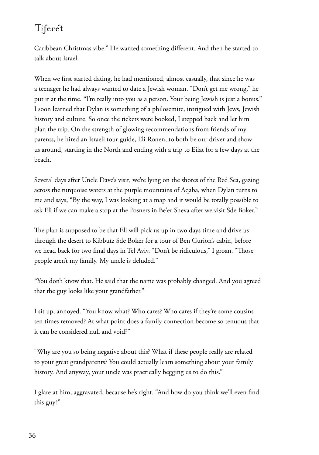Caribbean Christmas vibe." He wanted something different. And then he started to talk about Israel.

When we first started dating, he had mentioned, almost casually, that since he was a teenager he had always wanted to date a Jewish woman. "Don't get me wrong," he put it at the time. "I'm really into you as a person. Your being Jewish is just a bonus." I soon learned that Dylan is something of a philosemite, intrigued with Jews, Jewish history and culture. So once the tickets were booked, I stepped back and let him plan the trip. On the strength of glowing recommendations from friends of my parents, he hired an Israeli tour guide, Eli Ronen, to both be our driver and show us around, starting in the North and ending with a trip to Eilat for a few days at the beach.

Several days after Uncle Dave's visit, we're lying on the shores of the Red Sea, gazing across the turquoise waters at the purple mountains of Aqaba, when Dylan turns to me and says, "By the way, I was looking at a map and it would be totally possible to ask Eli if we can make a stop at the Posners in Be'er Sheva after we visit Sde Boker."

The plan is supposed to be that Eli will pick us up in two days time and drive us through the desert to Kibbutz Sde Boker for a tour of Ben Gurion's cabin, before we head back for two final days in Tel Aviv. "Don't be ridiculous," I groan. "Those people aren't my family. My uncle is deluded."

"You don't know that. He said that the name was probably changed. And you agreed that the guy looks like your grandfather."

I sit up, annoyed. "You know what? Who cares? Who cares if they're some cousins ten times removed? At what point does a family connection become so tenuous that it can be considered null and void?"

"Why are you so being negative about this? What if these people really are related to your great grandparents? You could actually learn something about your family history. And anyway, your uncle was practically begging us to do this."

I glare at him, aggravated, because he's right. "And how do you think we'll even find this guy?"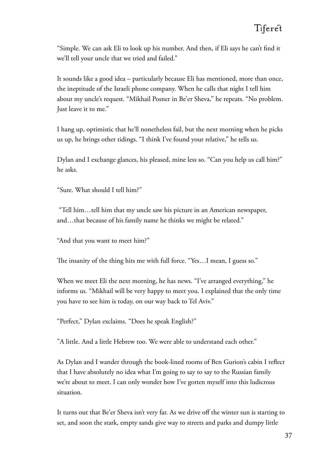"Simple. We can ask Eli to look up his number. And then, if Eli says he can't find it we'll tell your uncle that we tried and failed."

It sounds like a good idea – particularly because Eli has mentioned, more than once, the ineptitude of the Israeli phone company. When he calls that night I tell him about my uncle's request. "Mikhail Posner in Be'er Sheva," he repeats. "No problem. Just leave it to me."

I hang up, optimistic that he'll nonetheless fail, but the next morning when he picks us up, he brings other tidings. "I think I've found your relative," he tells us.

Dylan and I exchange glances, his pleased, mine less so. "Can you help us call him?" he asks.

"Sure. What should I tell him?"

 "Tell him…tell him that my uncle saw his picture in an American newspaper, and…that because of his family name he thinks we might be related."

"And that you want to meet him?"

The insanity of the thing hits me with full force. "Yes...I mean, I guess so."

When we meet Eli the next morning, he has news. "I've arranged everything," he informs us. "Mikhail will be very happy to meet you. I explained that the only time you have to see him is today, on our way back to Tel Aviv."

"Perfect," Dylan exclaims. "Does he speak English?"

"A little. And a little Hebrew too. We were able to understand each other."

As Dylan and I wander through the book-lined rooms of Ben Gurion's cabin I reflect that I have absolutely no idea what I'm going to say to say to the Russian family we're about to meet. I can only wonder how I've gotten myself into this ludicrous situation.

It turns out that Be'er Sheva isn't very far. As we drive off the winter sun is starting to set, and soon the stark, empty sands give way to streets and parks and dumpy little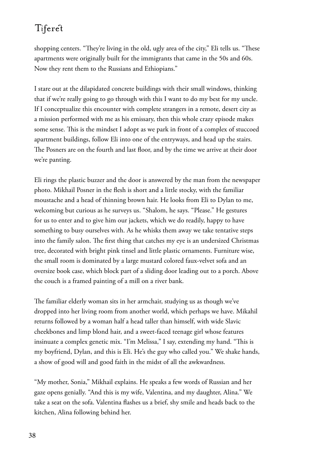shopping centers. "They're living in the old, ugly area of the city," Eli tells us. "These apartments were originally built for the immigrants that came in the 50s and 60s. Now they rent them to the Russians and Ethiopians."

I stare out at the dilapidated concrete buildings with their small windows, thinking that if we're really going to go through with this I want to do my best for my uncle. If I conceptualize this encounter with complete strangers in a remote, desert city as a mission performed with me as his emissary, then this whole crazy episode makes some sense. This is the mindset I adopt as we park in front of a complex of stuccoed apartment buildings, follow Eli into one of the entryways, and head up the stairs. The Posners are on the fourth and last floor, and by the time we arrive at their door we're panting.

Eli rings the plastic buzzer and the door is answered by the man from the newspaper photo. Mikhail Posner in the flesh is short and a little stocky, with the familiar moustache and a head of thinning brown hair. He looks from Eli to Dylan to me, welcoming but curious as he surveys us. "Shalom, he says. "Please." He gestures for us to enter and to give him our jackets, which we do readily, happy to have something to busy ourselves with. As he whisks them away we take tentative steps into the family salon. The first thing that catches my eye is an undersized Christmas tree, decorated with bright pink tinsel and little plastic ornaments. Furniture wise, the small room is dominated by a large mustard colored faux-velvet sofa and an oversize book case, which block part of a sliding door leading out to a porch. Above the couch is a framed painting of a mill on a river bank.

The familiar elderly woman sits in her armchair, studying us as though we've dropped into her living room from another world, which perhaps we have. Mikahil returns followed by a woman half a head taller than himself, with wide Slavic cheekbones and limp blond hair, and a sweet-faced teenage girl whose features insinuate a complex genetic mix. "I'm Melissa," I say, extending my hand. "This is my boyfriend, Dylan, and this is Eli. He's the guy who called you." We shake hands, a show of good will and good faith in the midst of all the awkwardness.

"My mother, Sonia," Mikhail explains. He speaks a few words of Russian and her gaze opens genially. "And this is my wife, Valentina, and my daughter, Alina." We take a seat on the sofa. Valentina flashes us a brief, shy smile and heads back to the kitchen, Alina following behind her.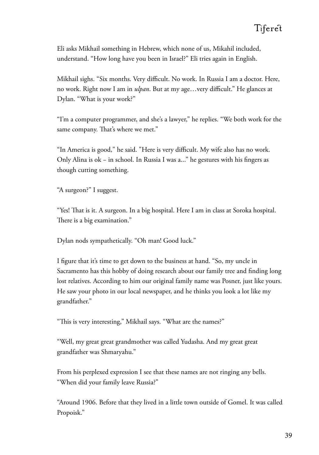Eli asks Mikhail something in Hebrew, which none of us, Mikahil included, understand. "How long have you been in Israel?" Eli tries again in English.

Mikhail sighs. "Six months. Very difficult. No work. In Russia I am a doctor. Here, no work. Right now I am in *ulpan*. But at my age…very difficult." He glances at Dylan. "What is your work?"

"I'm a computer programmer, and she's a lawyer," he replies. "We both work for the same company. That's where we met."

"In America is good," he said. "Here is very difficult. My wife also has no work. Only Alina is ok − in school. In Russia I was a..." he gestures with his fingers as though cutting something.

"A surgeon?" I suggest.

"Yes! That is it. A surgeon. In a big hospital. Here I am in class at Soroka hospital. There is a big examination."

Dylan nods sympathetically. "Oh man! Good luck."

I figure that it's time to get down to the business at hand. "So, my uncle in Sacramento has this hobby of doing research about our family tree and finding long lost relatives. According to him our original family name was Posner, just like yours. He saw your photo in our local newspaper, and he thinks you look a lot like my grandfather."

"This is very interesting," Mikhail says. "What are the names?"

"Well, my great great grandmother was called Yudasha. And my great great grandfather was Shmaryahu."

From his perplexed expression I see that these names are not ringing any bells. "When did your family leave Russia?"

"Around 1906. Before that they lived in a little town outside of Gomel. It was called Propoisk."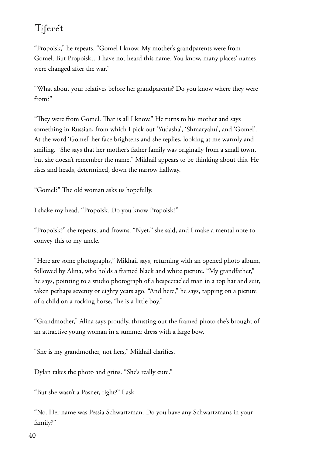"Propoisk," he repeats. "Gomel I know. My mother's grandparents were from Gomel. But Propoisk…I have not heard this name. You know, many places' names were changed after the war."

"What about your relatives before her grandparents? Do you know where they were from?"

"They were from Gomel. That is all I know." He turns to his mother and says something in Russian, from which I pick out 'Yudasha', 'Shmaryahu', and 'Gomel'. At the word 'Gomel' her face brightens and she replies, looking at me warmly and smiling. "She says that her mother's father family was originally from a small town, but she doesn't remember the name." Mikhail appears to be thinking about this. He rises and heads, determined, down the narrow hallway.

"Gomel?" The old woman asks us hopefully.

I shake my head. "Propoisk. Do you know Propoisk?"

"Propoisk?" she repeats, and frowns. "Nyet," she said, and I make a mental note to convey this to my uncle.

"Here are some photographs," Mikhail says, returning with an opened photo album, followed by Alina, who holds a framed black and white picture. "My grandfather," he says, pointing to a studio photograph of a bespectacled man in a top hat and suit, taken perhaps seventy or eighty years ago. "And here," he says, tapping on a picture of a child on a rocking horse, "he is a little boy."

"Grandmother," Alina says proudly, thrusting out the framed photo she's brought of an attractive young woman in a summer dress with a large bow.

"She is my grandmother, not hers," Mikhail clarifies.

Dylan takes the photo and grins. "She's really cute."

"But she wasn't a Posner, right?" I ask.

"No. Her name was Pessia Schwartzman. Do you have any Schwartzmans in your family?"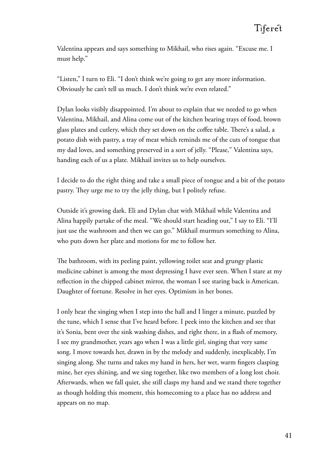Valentina appears and says something to Mikhail, who rises again. "Excuse me. I must help."

"Listen," I turn to Eli. "I don't think we're going to get any more information. Obviously he can't tell us much. I don't think we're even related."

Dylan looks visibly disappointed. I'm about to explain that we needed to go when Valentina, Mikhail, and Alina come out of the kitchen bearing trays of food, brown glass plates and cutlery, which they set down on the coffee table. There's a salad, a potato dish with pastry, a tray of meat which reminds me of the cuts of tongue that my dad loves, and something preserved in a sort of jelly. "Please," Valentina says, handing each of us a plate. Mikhail invites us to help ourselves.

I decide to do the right thing and take a small piece of tongue and a bit of the potato pastry. They urge me to try the jelly thing, but I politely refuse.

Outside it's growing dark. Eli and Dylan chat with Mikhail while Valentina and Alina happily partake of the meal. "We should start heading out," I say to Eli. "I'll just use the washroom and then we can go." Mikhail murmurs something to Alina, who puts down her plate and motions for me to follow her.

The bathroom, with its peeling paint, yellowing toilet seat and grungy plastic medicine cabinet is among the most depressing I have ever seen. When I stare at my reflection in the chipped cabinet mirror, the woman I see staring back is American. Daughter of fortune. Resolve in her eyes. Optimism in her bones.

I only hear the singing when I step into the hall and I linger a minute, puzzled by the tune, which I sense that I've heard before. I peek into the kitchen and see that it's Sonia, bent over the sink washing dishes, and right there, in a flash of memory, I see my grandmother, years ago when I was a little girl, singing that very same song. I move towards her, drawn in by the melody and suddenly, inexplicably, I'm singing along. She turns and takes my hand in hers, her wet, warm fingers clasping mine, her eyes shining, and we sing together, like two members of a long lost choir. Afterwards, when we fall quiet, she still clasps my hand and we stand there together as though holding this moment, this homecoming to a place has no address and appears on no map.